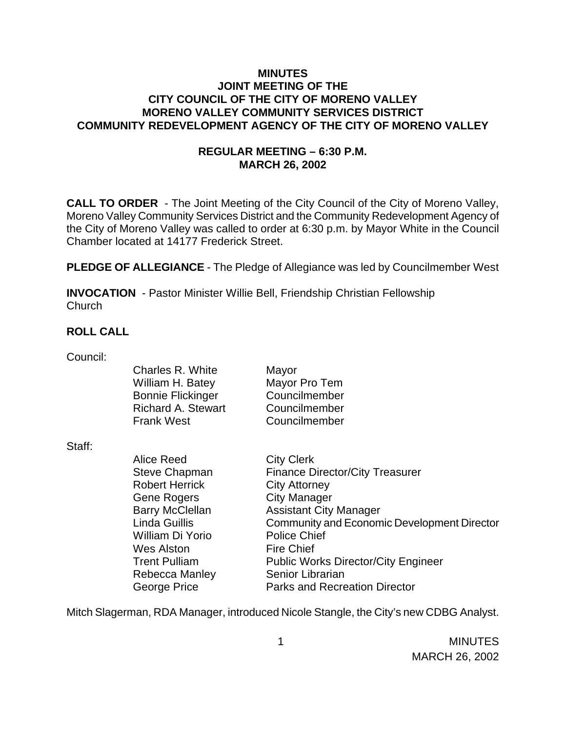### **MINUTES JOINT MEETING OF THE CITY COUNCIL OF THE CITY OF MORENO VALLEY MORENO VALLEY COMMUNITY SERVICES DISTRICT COMMUNITY REDEVELOPMENT AGENCY OF THE CITY OF MORENO VALLEY**

### **REGULAR MEETING – 6:30 P.M. MARCH 26, 2002**

**CALL TO ORDER** - The Joint Meeting of the City Council of the City of Moreno Valley, Moreno Valley Community Services District and the Community Redevelopment Agency of the City of Moreno Valley was called to order at 6:30 p.m. by Mayor White in the Council Chamber located at 14177 Frederick Street.

**PLEDGE OF ALLEGIANCE** - The Pledge of Allegiance was led by Councilmember West

**INVOCATION** - Pastor Minister Willie Bell, Friendship Christian Fellowship **Church** 

### **ROLL CALL**

| Council: |                           |                                                    |
|----------|---------------------------|----------------------------------------------------|
|          | Charles R. White          | Mayor                                              |
|          | William H. Batey          | Mayor Pro Tem                                      |
|          | <b>Bonnie Flickinger</b>  | Councilmember                                      |
|          | <b>Richard A. Stewart</b> | Councilmember                                      |
|          | <b>Frank West</b>         | Councilmember                                      |
| Staff:   |                           |                                                    |
|          | Alice Reed                | <b>City Clerk</b>                                  |
|          | <b>Steve Chapman</b>      | <b>Finance Director/City Treasurer</b>             |
|          | <b>Robert Herrick</b>     | <b>City Attorney</b>                               |
|          | Gene Rogers               | <b>City Manager</b>                                |
|          | <b>Barry McClellan</b>    | <b>Assistant City Manager</b>                      |
|          | Linda Guillis             | <b>Community and Economic Development Director</b> |
|          | William Di Yorio          | <b>Police Chief</b>                                |
|          | <b>Wes Alston</b>         | <b>Fire Chief</b>                                  |
|          | <b>Trent Pulliam</b>      | <b>Public Works Director/City Engineer</b>         |
|          | Rebecca Manley            | Senior Librarian                                   |
|          | George Price              | <b>Parks and Recreation Director</b>               |

Mitch Slagerman, RDA Manager, introduced Nicole Stangle, the City's new CDBG Analyst.

 1 MINUTES MARCH 26, 2002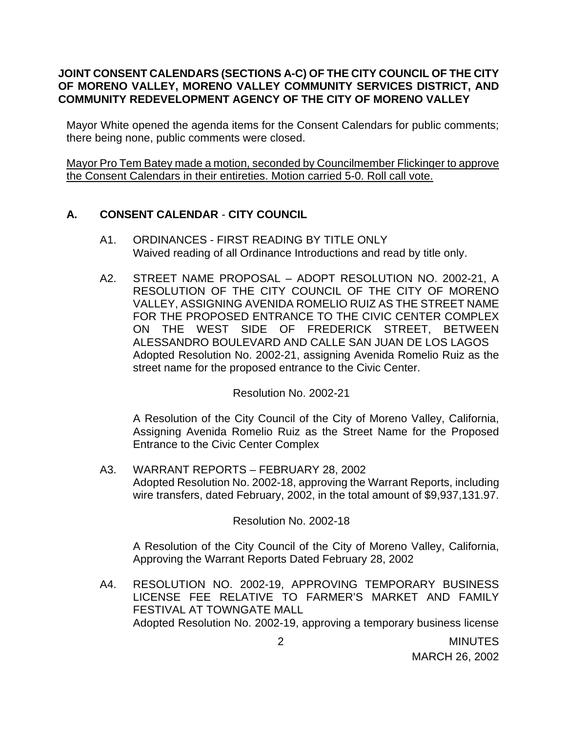## **JOINT CONSENT CALENDARS (SECTIONS A-C) OF THE CITY COUNCIL OF THE CITY OF MORENO VALLEY, MORENO VALLEY COMMUNITY SERVICES DISTRICT, AND COMMUNITY REDEVELOPMENT AGENCY OF THE CITY OF MORENO VALLEY**

Mayor White opened the agenda items for the Consent Calendars for public comments; there being none, public comments were closed.

Mayor Pro Tem Batey made a motion, seconded by Councilmember Flickinger to approve the Consent Calendars in their entireties. Motion carried 5-0. Roll call vote.

# **A. CONSENT CALENDAR** - **CITY COUNCIL**

- A1. ORDINANCES FIRST READING BY TITLE ONLY Waived reading of all Ordinance Introductions and read by title only.
- A2. STREET NAME PROPOSAL ADOPT RESOLUTION NO. 2002-21, A RESOLUTION OF THE CITY COUNCIL OF THE CITY OF MORENO VALLEY, ASSIGNING AVENIDA ROMELIO RUIZ AS THE STREET NAME FOR THE PROPOSED ENTRANCE TO THE CIVIC CENTER COMPLEX ON THE WEST SIDE OF FREDERICK STREET, BETWEEN ALESSANDRO BOULEVARD AND CALLE SAN JUAN DE LOS LAGOS Adopted Resolution No. 2002-21, assigning Avenida Romelio Ruiz as the street name for the proposed entrance to the Civic Center.

Resolution No. 2002-21

A Resolution of the City Council of the City of Moreno Valley, California, Assigning Avenida Romelio Ruiz as the Street Name for the Proposed Entrance to the Civic Center Complex

A3. WARRANT REPORTS – FEBRUARY 28, 2002 Adopted Resolution No. 2002-18, approving the Warrant Reports, including wire transfers, dated February, 2002, in the total amount of \$9,937,131.97.

Resolution No. 2002-18

A Resolution of the City Council of the City of Moreno Valley, California, Approving the Warrant Reports Dated February 28, 2002

A4. RESOLUTION NO. 2002-19, APPROVING TEMPORARY BUSINESS LICENSE FEE RELATIVE TO FARMER'S MARKET AND FAMILY FESTIVAL AT TOWNGATE MALL Adopted Resolution No. 2002-19, approving a temporary business license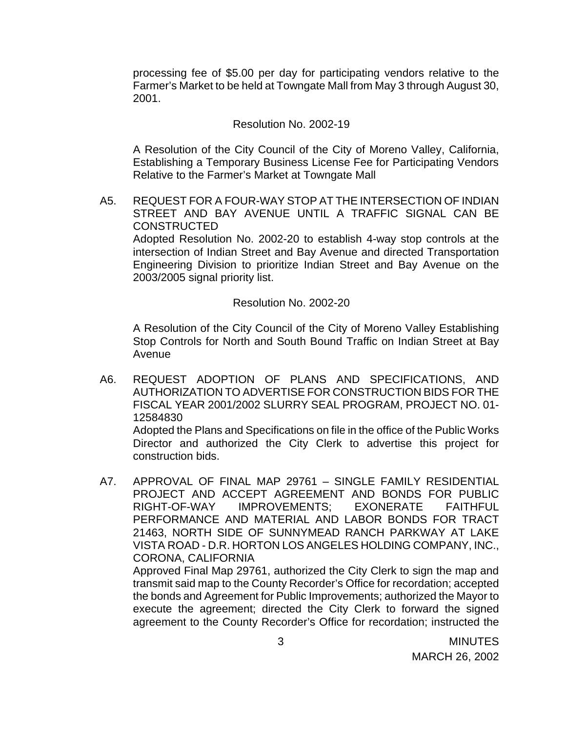processing fee of \$5.00 per day for participating vendors relative to the Farmer's Market to be held at Towngate Mall from May 3 through August 30, 2001.

#### Resolution No. 2002-19

A Resolution of the City Council of the City of Moreno Valley, California, Establishing a Temporary Business License Fee for Participating Vendors Relative to the Farmer's Market at Towngate Mall

A5. REQUEST FOR A FOUR-WAY STOP AT THE INTERSECTION OF INDIAN STREET AND BAY AVENUE UNTIL A TRAFFIC SIGNAL CAN BE **CONSTRUCTED** 

Adopted Resolution No. 2002-20 to establish 4-way stop controls at the intersection of Indian Street and Bay Avenue and directed Transportation Engineering Division to prioritize Indian Street and Bay Avenue on the 2003/2005 signal priority list.

#### Resolution No. 2002-20

A Resolution of the City Council of the City of Moreno Valley Establishing Stop Controls for North and South Bound Traffic on Indian Street at Bay Avenue

A6. REQUEST ADOPTION OF PLANS AND SPECIFICATIONS, AND AUTHORIZATION TO ADVERTISE FOR CONSTRUCTION BIDS FOR THE FISCAL YEAR 2001/2002 SLURRY SEAL PROGRAM, PROJECT NO. 01- 12584830

Adopted the Plans and Specifications on file in the office of the Public Works Director and authorized the City Clerk to advertise this project for construction bids.

A7. APPROVAL OF FINAL MAP 29761 – SINGLE FAMILY RESIDENTIAL PROJECT AND ACCEPT AGREEMENT AND BONDS FOR PUBLIC RIGHT-OF-WAY IMPROVEMENTS; EXONERATE FAITHFUL PERFORMANCE AND MATERIAL AND LABOR BONDS FOR TRACT 21463, NORTH SIDE OF SUNNYMEAD RANCH PARKWAY AT LAKE VISTA ROAD - D.R. HORTON LOS ANGELES HOLDING COMPANY, INC., CORONA, CALIFORNIA

Approved Final Map 29761, authorized the City Clerk to sign the map and transmit said map to the County Recorder's Office for recordation; accepted the bonds and Agreement for Public Improvements; authorized the Mayor to execute the agreement; directed the City Clerk to forward the signed agreement to the County Recorder's Office for recordation; instructed the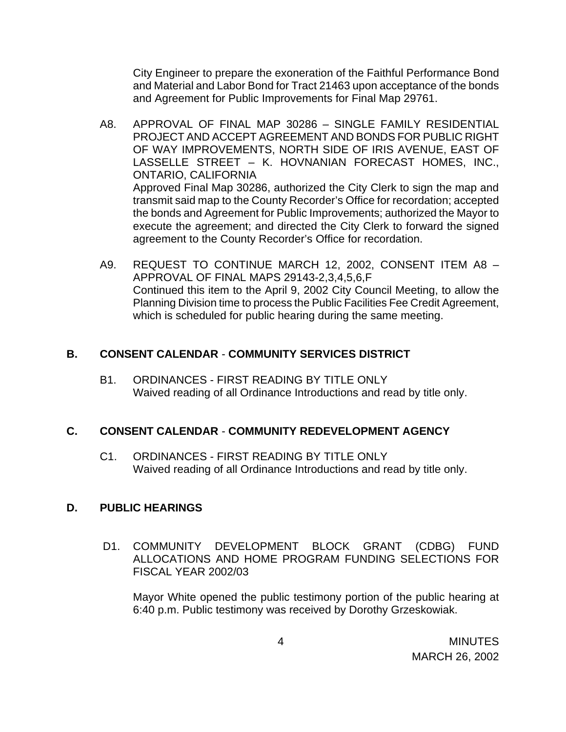City Engineer to prepare the exoneration of the Faithful Performance Bond and Material and Labor Bond for Tract 21463 upon acceptance of the bonds and Agreement for Public Improvements for Final Map 29761.

- A8. APPROVAL OF FINAL MAP 30286 SINGLE FAMILY RESIDENTIAL PROJECT AND ACCEPT AGREEMENT AND BONDS FOR PUBLIC RIGHT OF WAY IMPROVEMENTS, NORTH SIDE OF IRIS AVENUE, EAST OF LASSELLE STREET – K. HOVNANIAN FORECAST HOMES, INC., ONTARIO, CALIFORNIA Approved Final Map 30286, authorized the City Clerk to sign the map and transmit said map to the County Recorder's Office for recordation; accepted the bonds and Agreement for Public Improvements; authorized the Mayor to execute the agreement; and directed the City Clerk to forward the signed agreement to the County Recorder's Office for recordation.
- A9. REQUEST TO CONTINUE MARCH 12, 2002, CONSENT ITEM A8 APPROVAL OF FINAL MAPS 29143-2,3,4,5,6,F Continued this item to the April 9, 2002 City Council Meeting, to allow the Planning Division time to process the Public Facilities Fee Credit Agreement, which is scheduled for public hearing during the same meeting.

## **B. CONSENT CALENDAR** - **COMMUNITY SERVICES DISTRICT**

B1. ORDINANCES - FIRST READING BY TITLE ONLY Waived reading of all Ordinance Introductions and read by title only.

# **C. CONSENT CALENDAR** - **COMMUNITY REDEVELOPMENT AGENCY**

C1. ORDINANCES - FIRST READING BY TITLE ONLY Waived reading of all Ordinance Introductions and read by title only.

# **D. PUBLIC HEARINGS**

 D1. COMMUNITY DEVELOPMENT BLOCK GRANT (CDBG) FUND ALLOCATIONS AND HOME PROGRAM FUNDING SELECTIONS FOR FISCAL YEAR 2002/03

Mayor White opened the public testimony portion of the public hearing at 6:40 p.m. Public testimony was received by Dorothy Grzeskowiak.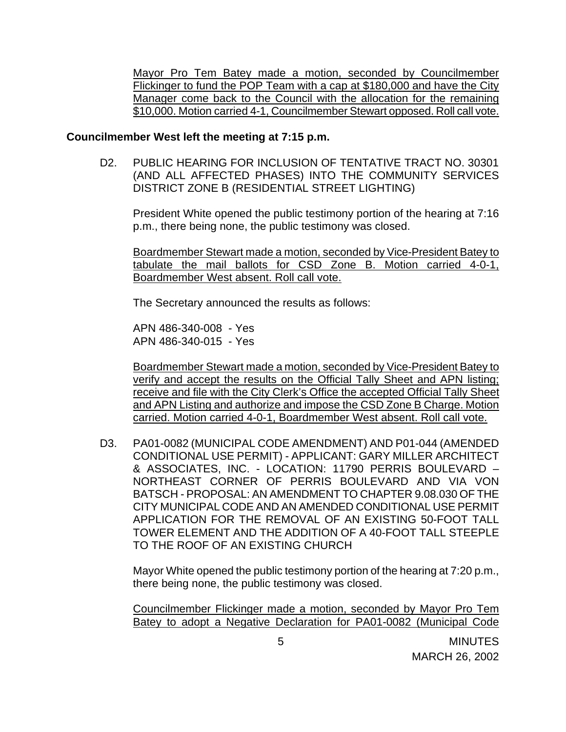Mayor Pro Tem Batey made a motion, seconded by Councilmember Flickinger to fund the POP Team with a cap at \$180,000 and have the City Manager come back to the Council with the allocation for the remaining \$10,000. Motion carried 4-1, Councilmember Stewart opposed. Roll call vote.

#### **Councilmember West left the meeting at 7:15 p.m.**

D2. PUBLIC HEARING FOR INCLUSION OF TENTATIVE TRACT NO. 30301 (AND ALL AFFECTED PHASES) INTO THE COMMUNITY SERVICES DISTRICT ZONE B (RESIDENTIAL STREET LIGHTING)

President White opened the public testimony portion of the hearing at 7:16 p.m., there being none, the public testimony was closed.

Boardmember Stewart made a motion, seconded by Vice-President Batey to tabulate the mail ballots for CSD Zone B. Motion carried 4-0-1, Boardmember West absent. Roll call vote.

The Secretary announced the results as follows:

APN 486-340-008 - Yes APN 486-340-015 - Yes

Boardmember Stewart made a motion, seconded by Vice-President Batey to verify and accept the results on the Official Tally Sheet and APN listing; receive and file with the City Clerk's Office the accepted Official Tally Sheet and APN Listing and authorize and impose the CSD Zone B Charge. Motion carried. Motion carried 4-0-1, Boardmember West absent. Roll call vote.

D3. PA01-0082 (MUNICIPAL CODE AMENDMENT) AND P01-044 (AMENDED CONDITIONAL USE PERMIT) - APPLICANT: GARY MILLER ARCHITECT & ASSOCIATES, INC. - LOCATION: 11790 PERRIS BOULEVARD – NORTHEAST CORNER OF PERRIS BOULEVARD AND VIA VON BATSCH - PROPOSAL: AN AMENDMENT TO CHAPTER 9.08.030 OF THE CITY MUNICIPAL CODE AND AN AMENDED CONDITIONAL USE PERMIT APPLICATION FOR THE REMOVAL OF AN EXISTING 50-FOOT TALL TOWER ELEMENT AND THE ADDITION OF A 40-FOOT TALL STEEPLE TO THE ROOF OF AN EXISTING CHURCH

Mayor White opened the public testimony portion of the hearing at 7:20 p.m., there being none, the public testimony was closed.

Councilmember Flickinger made a motion, seconded by Mayor Pro Tem Batey to adopt a Negative Declaration for PA01-0082 (Municipal Code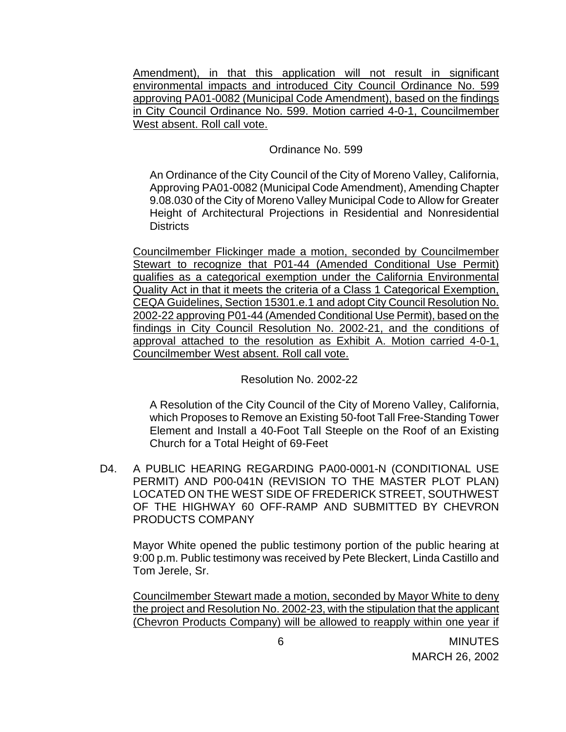Amendment), in that this application will not result in significant environmental impacts and introduced City Council Ordinance No. 599 approving PA01-0082 (Municipal Code Amendment), based on the findings in City Council Ordinance No. 599. Motion carried 4-0-1, Councilmember West absent. Roll call vote.

Ordinance No. 599

An Ordinance of the City Council of the City of Moreno Valley, California, Approving PA01-0082 (Municipal Code Amendment), Amending Chapter 9.08.030 of the City of Moreno Valley Municipal Code to Allow for Greater Height of Architectural Projections in Residential and Nonresidential **Districts** 

Councilmember Flickinger made a motion, seconded by Councilmember Stewart to recognize that P01-44 (Amended Conditional Use Permit) qualifies as a categorical exemption under the California Environmental Quality Act in that it meets the criteria of a Class 1 Categorical Exemption, CEQA Guidelines, Section 15301.e.1 and adopt City Council Resolution No. 2002-22 approving P01-44 (Amended Conditional Use Permit), based on the findings in City Council Resolution No. 2002-21, and the conditions of approval attached to the resolution as Exhibit A. Motion carried 4-0-1, Councilmember West absent. Roll call vote.

Resolution No. 2002-22

A Resolution of the City Council of the City of Moreno Valley, California, which Proposes to Remove an Existing 50-foot Tall Free-Standing Tower Element and Install a 40-Foot Tall Steeple on the Roof of an Existing Church for a Total Height of 69-Feet

D4. A PUBLIC HEARING REGARDING PA00-0001-N (CONDITIONAL USE PERMIT) AND P00-041N (REVISION TO THE MASTER PLOT PLAN) LOCATED ON THE WEST SIDE OF FREDERICK STREET, SOUTHWEST OF THE HIGHWAY 60 OFF-RAMP AND SUBMITTED BY CHEVRON PRODUCTS COMPANY

Mayor White opened the public testimony portion of the public hearing at 9:00 p.m. Public testimony was received by Pete Bleckert, Linda Castillo and Tom Jerele, Sr.

Councilmember Stewart made a motion, seconded by Mayor White to deny the project and Resolution No. 2002-23, with the stipulation that the applicant (Chevron Products Company) will be allowed to reapply within one year if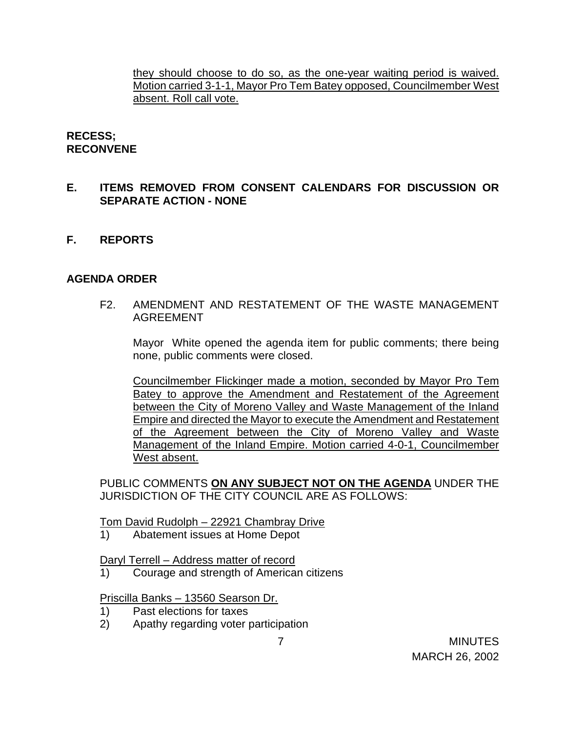they should choose to do so, as the one-year waiting period is waived. Motion carried 3-1-1, Mayor Pro Tem Batey opposed, Councilmember West absent. Roll call vote.

### **RECESS; RECONVENE**

## **E. ITEMS REMOVED FROM CONSENT CALENDARS FOR DISCUSSION OR SEPARATE ACTION - NONE**

**F. REPORTS**

### **AGENDA ORDER**

F2. AMENDMENT AND RESTATEMENT OF THE WASTE MANAGEMENT AGREEMENT

Mayor White opened the agenda item for public comments; there being none, public comments were closed.

Councilmember Flickinger made a motion, seconded by Mayor Pro Tem Batey to approve the Amendment and Restatement of the Agreement between the City of Moreno Valley and Waste Management of the Inland Empire and directed the Mayor to execute the Amendment and Restatement of the Agreement between the City of Moreno Valley and Waste Management of the Inland Empire. Motion carried 4-0-1, Councilmember West absent.

PUBLIC COMMENTS **ON ANY SUBJECT NOT ON THE AGENDA** UNDER THE JURISDICTION OF THE CITY COUNCIL ARE AS FOLLOWS:

Tom David Rudolph – 22921 Chambray Drive

1) Abatement issues at Home Depot

Daryl Terrell – Address matter of record

Courage and strength of American citizens

Priscilla Banks – 13560 Searson Dr.

- 1) Past elections for taxes
- 2) Apathy regarding voter participation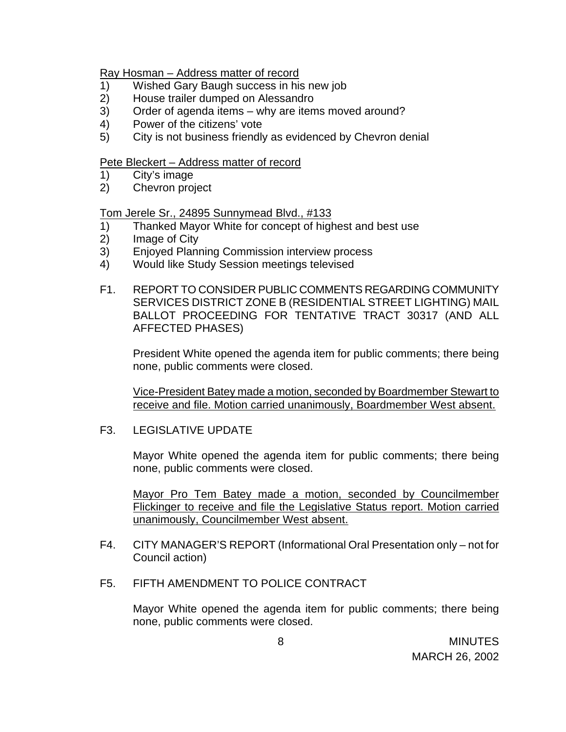#### Ray Hosman – Address matter of record

- 1) Wished Gary Baugh success in his new job
- 2) House trailer dumped on Alessandro
- 3) Order of agenda items why are items moved around?
- 4) Power of the citizens' vote
- 5) City is not business friendly as evidenced by Chevron denial

#### Pete Bleckert - Address matter of record

- 1) City's image
- 2) Chevron project

#### Tom Jerele Sr., 24895 Sunnymead Blvd., #133

- 1) Thanked Mayor White for concept of highest and best use
- 2) Image of City
- 3) Enjoyed Planning Commission interview process
- 4) Would like Study Session meetings televised
- F1. REPORT TO CONSIDER PUBLIC COMMENTS REGARDING COMMUNITY SERVICES DISTRICT ZONE B (RESIDENTIAL STREET LIGHTING) MAIL BALLOT PROCEEDING FOR TENTATIVE TRACT 30317 (AND ALL AFFECTED PHASES)

President White opened the agenda item for public comments; there being none, public comments were closed.

Vice-President Batey made a motion, seconded by Boardmember Stewart to receive and file. Motion carried unanimously, Boardmember West absent.

F3. LEGISLATIVE UPDATE

Mayor White opened the agenda item for public comments; there being none, public comments were closed.

Mayor Pro Tem Batey made a motion, seconded by Councilmember Flickinger to receive and file the Legislative Status report. Motion carried unanimously, Councilmember West absent.

- F4. CITY MANAGER'S REPORT (Informational Oral Presentation only not for Council action)
- F5. FIFTH AMENDMENT TO POLICE CONTRACT

Mayor White opened the agenda item for public comments; there being none, public comments were closed.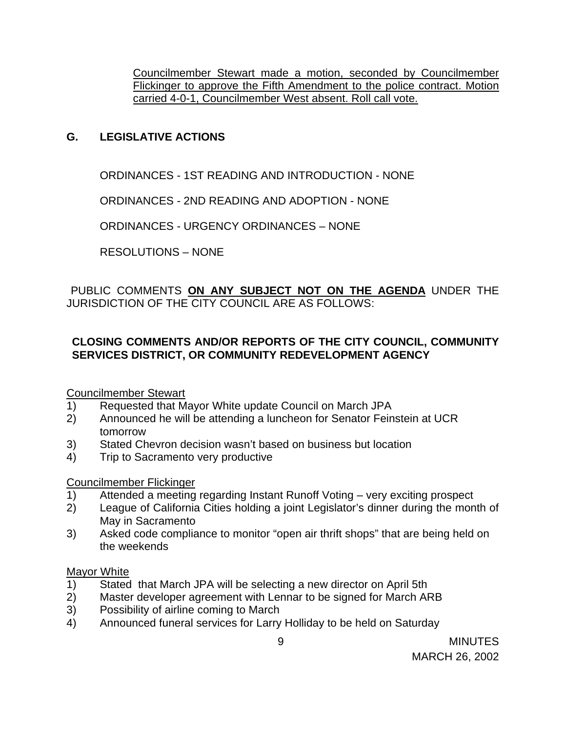Councilmember Stewart made a motion, seconded by Councilmember Flickinger to approve the Fifth Amendment to the police contract. Motion carried 4-0-1, Councilmember West absent. Roll call vote.

# **G. LEGISLATIVE ACTIONS**

ORDINANCES - 1ST READING AND INTRODUCTION - NONE

ORDINANCES - 2ND READING AND ADOPTION - NONE

ORDINANCES - URGENCY ORDINANCES – NONE

RESOLUTIONS – NONE

PUBLIC COMMENTS **ON ANY SUBJECT NOT ON THE AGENDA** UNDER THE JURISDICTION OF THE CITY COUNCIL ARE AS FOLLOWS:

# **CLOSING COMMENTS AND/OR REPORTS OF THE CITY COUNCIL, COMMUNITY SERVICES DISTRICT, OR COMMUNITY REDEVELOPMENT AGENCY**

# Councilmember Stewart

- 1) Requested that Mayor White update Council on March JPA
- 2) Announced he will be attending a luncheon for Senator Feinstein at UCR tomorrow
- 3) Stated Chevron decision wasn't based on business but location
- 4) Trip to Sacramento very productive

# Councilmember Flickinger

- 1) Attended a meeting regarding Instant Runoff Voting very exciting prospect
- 2) League of California Cities holding a joint Legislator's dinner during the month of May in Sacramento
- 3) Asked code compliance to monitor "open air thrift shops" that are being held on the weekends

### **Mayor White**

- 1) Stated that March JPA will be selecting a new director on April 5th
- 2) Master developer agreement with Lennar to be signed for March ARB
- 3) Possibility of airline coming to March
- 4) Announced funeral services for Larry Holliday to be held on Saturday